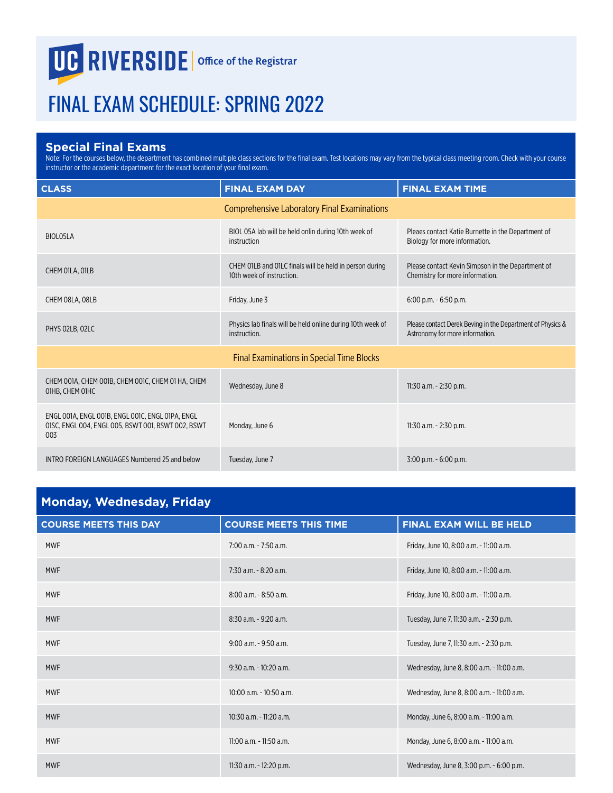## **UG RIVERSIDE** Office of the Registrar

## FINAL EXAM SCHEDULE: SPRING 2022

## **Special Final Exams**

Note: For the courses below, the department has combined multiple class sections for the final exam. Test locations may vary from the typical class meeting room. Check with your course instructor or the academic department for the exact location of your final exam.

| <b>CLASS</b>                                                                                                  | <b>FINAL EXAM DAY</b>                                                                | <b>FINAL EXAM TIME</b>                                                                        |
|---------------------------------------------------------------------------------------------------------------|--------------------------------------------------------------------------------------|-----------------------------------------------------------------------------------------------|
|                                                                                                               | <b>Comprehensive Laboratory Final Examinations</b>                                   |                                                                                               |
| BIOLO5LA                                                                                                      | BIOL 05A lab will be held onlin during 10th week of<br>instruction                   | Pleaes contact Katie Burnette in the Department of<br>Biology for more information.           |
| CHEM OILA, OILB                                                                                               | CHEM 01LB and 01LC finals will be held in person during<br>10th week of instruction. | Please contact Kevin Simpson in the Department of<br>Chemistry for more information.          |
| CHEM 08LA, 08LB                                                                                               | Friday, June 3                                                                       | $6:00$ p.m. $-6:50$ p.m.                                                                      |
| PHYS 02LB, 02LC                                                                                               | Physics lab finals will be held online during 10th week of<br>instruction.           | Please contact Derek Beving in the Department of Physics &<br>Astronomy for more information. |
|                                                                                                               | <b>Final Examinations in Special Time Blocks</b>                                     |                                                                                               |
| CHEM 001A, CHEM 001B, CHEM 001C, CHEM 01 HA, CHEM<br>O1HB, CHEM O1HC                                          | Wednesday, June 8                                                                    | 11:30 a.m. - 2:30 p.m.                                                                        |
| ENGL 001A, ENGL 001B, ENGL 001C, ENGL 01PA, ENGL<br>01SC, ENGL 004, ENGL 005, BSWT 001, BSWT 002, BSWT<br>003 | Monday, June 6                                                                       | 11:30 a.m. - 2:30 p.m.                                                                        |
| INTRO FOREIGN LANGUAGES Numbered 25 and below                                                                 | Tuesday, June 7                                                                      | $3:00$ p.m. $-6:00$ p.m.                                                                      |

| <b>Monday, Wednesday, Friday</b> |                               |                                           |
|----------------------------------|-------------------------------|-------------------------------------------|
| <b>COURSE MEETS THIS DAY</b>     | <b>COURSE MEETS THIS TIME</b> | <b>FINAL EXAM WILL BE HELD</b>            |
| <b>MWF</b>                       | $7:00$ a.m. $-7:50$ a.m.      | Friday, June 10, 8:00 a.m. - 11:00 a.m.   |
| <b>MWF</b>                       | 7:30 a.m. - 8:20 a.m.         | Friday, June 10, 8:00 a.m. - 11:00 a.m.   |
| <b>MWF</b>                       | 8:00 a.m. - 8:50 a.m.         | Friday, June 10, 8:00 a.m. - 11:00 a.m.   |
| <b>MWF</b>                       | 8:30 a.m. - 9:20 a.m.         | Tuesday, June 7, 11:30 a.m. - 2:30 p.m.   |
| <b>MWF</b>                       | 9:00 a.m. - 9:50 a.m.         | Tuesday, June 7, 11:30 a.m. - 2:30 p.m.   |
| <b>MWF</b>                       | 9:30 a.m. - 10:20 a.m.        | Wednesday, June 8, 8:00 a.m. - 11:00 a.m. |
| <b>MWF</b>                       | $10:00$ a.m. - $10:50$ a.m.   | Wednesday, June 8, 8:00 a.m. - 11:00 a.m. |
| <b>MWF</b>                       | $10:30$ a.m. - 11:20 a.m.     | Monday, June 6, 8:00 a.m. - 11:00 a.m.    |
| <b>MWF</b>                       | $11:00$ a.m. - $11:50$ a.m.   | Monday, June 6, 8:00 a.m. - 11:00 a.m.    |
| <b>MWF</b>                       | 11:30 a.m. - 12:20 p.m.       | Wednesday, June 8, 3:00 p.m. - 6:00 p.m.  |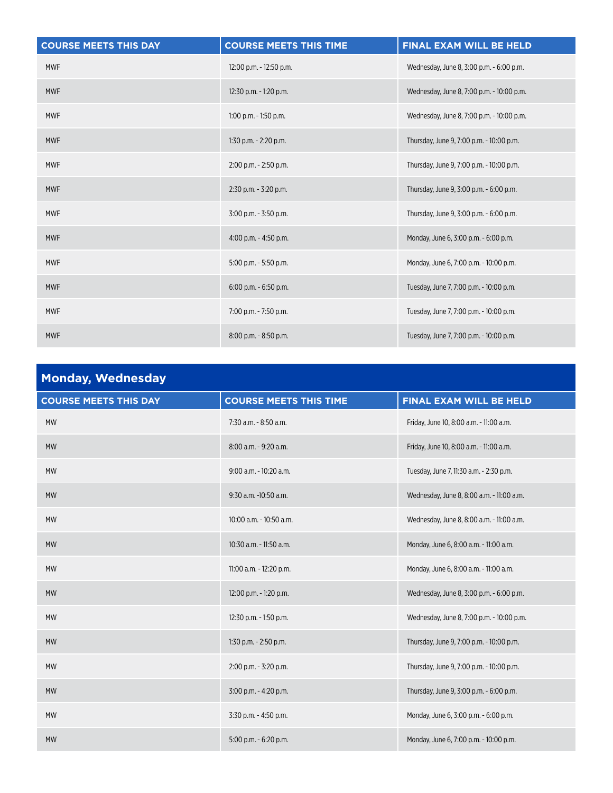| <b>COURSE MEETS THIS DAY</b> | <b>COURSE MEETS THIS TIME</b> | FINAL EXAM WILL BE HELD                   |
|------------------------------|-------------------------------|-------------------------------------------|
| <b>MWF</b>                   | 12:00 p.m. - 12:50 p.m.       | Wednesday, June 8, 3:00 p.m. - 6:00 p.m.  |
| <b>MWF</b>                   | 12:30 p.m. - 1:20 p.m.        | Wednesday, June 8, 7:00 p.m. - 10:00 p.m. |
| <b>MWF</b>                   | $1:00$ p.m. $-1:50$ p.m.      | Wednesday, June 8, 7:00 p.m. - 10:00 p.m. |
| <b>MWF</b>                   | $1:30$ p.m. - $2:20$ p.m.     | Thursday, June 9, 7:00 p.m. - 10:00 p.m.  |
| <b>MWF</b>                   | 2:00 p.m. - 2:50 p.m.         | Thursday, June 9, 7:00 p.m. - 10:00 p.m.  |
| <b>MWF</b>                   | $2:30$ p.m. - $3:20$ p.m.     | Thursday, June 9, 3:00 p.m. - 6:00 p.m.   |
| <b>MWF</b>                   | 3:00 p.m. - 3:50 p.m.         | Thursday, June 9, 3:00 p.m. - 6:00 p.m.   |
| <b>MWF</b>                   | 4:00 p.m. - 4:50 p.m.         | Monday, June 6, 3:00 p.m. - 6:00 p.m.     |
| <b>MWF</b>                   | 5:00 p.m. - 5:50 p.m.         | Monday, June 6, 7:00 p.m. - 10:00 p.m.    |
| <b>MWF</b>                   | $6:00$ p.m. $-6:50$ p.m.      | Tuesday, June 7, 7:00 p.m. - 10:00 p.m.   |
| <b>MWF</b>                   | 7:00 p.m. - 7:50 p.m.         | Tuesday, June 7, 7:00 p.m. - 10:00 p.m.   |
| <b>MWF</b>                   | 8:00 p.m. - 8:50 p.m.         | Tuesday, June 7, 7:00 p.m. - 10:00 p.m.   |

| <b>Monday, Wednesday</b>     |                               |                                           |
|------------------------------|-------------------------------|-------------------------------------------|
| <b>COURSE MEETS THIS DAY</b> | <b>COURSE MEETS THIS TIME</b> | FINAL EXAM WILL BE HELD                   |
| <b>MW</b>                    | 7:30 a.m. - 8:50 a.m.         | Friday, June 10, 8:00 a.m. - 11:00 a.m.   |
| <b>MW</b>                    | 8:00 a.m. - 9:20 a.m.         | Friday, June 10, 8:00 a.m. - 11:00 a.m.   |
| <b>MW</b>                    | 9:00 a.m. - 10:20 a.m.        | Tuesday, June 7, 11:30 a.m. - 2:30 p.m.   |
| <b>MW</b>                    | 9:30 a.m. -10:50 a.m.         | Wednesday, June 8, 8:00 a.m. - 11:00 a.m. |
| <b>MW</b>                    | 10:00 a.m. - 10:50 a.m.       | Wednesday, June 8, 8:00 a.m. - 11:00 a.m. |
| <b>MW</b>                    | 10:30 a.m. - 11:50 a.m.       | Monday, June 6, 8:00 a.m. - 11:00 a.m.    |
| <b>MW</b>                    | 11:00 a.m. - 12:20 p.m.       | Monday, June 6, 8:00 a.m. - 11:00 a.m.    |
| <b>MW</b>                    | 12:00 p.m. - 1:20 p.m.        | Wednesday, June 8, 3:00 p.m. - 6:00 p.m.  |
| <b>MW</b>                    | 12:30 p.m. - 1:50 p.m.        | Wednesday, June 8, 7:00 p.m. - 10:00 p.m. |
| <b>MW</b>                    | 1:30 p.m. - 2:50 p.m.         | Thursday, June 9, 7:00 p.m. - 10:00 p.m.  |
| <b>MW</b>                    | 2:00 p.m. - 3:20 p.m.         | Thursday, June 9, 7:00 p.m. - 10:00 p.m.  |
| <b>MW</b>                    | 3:00 p.m. - 4:20 p.m.         | Thursday, June 9, 3:00 p.m. - 6:00 p.m.   |
| <b>MW</b>                    | 3:30 p.m. - 4:50 p.m.         | Monday, June 6, 3:00 p.m. - 6:00 p.m.     |
| <b>MW</b>                    | $5:00$ p.m. $-6:20$ p.m.      | Monday, June 6, 7:00 p.m. - 10:00 p.m.    |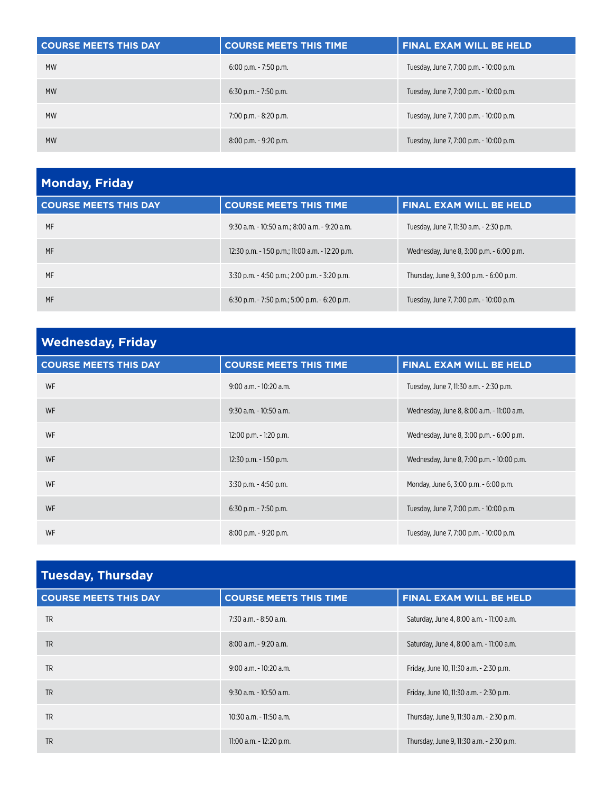| <b>COURSE MEETS THIS DAY</b> | <b>COURSE MEETS THIS TIME</b> | <b>FINAL EXAM WILL BE HELD</b>          |
|------------------------------|-------------------------------|-----------------------------------------|
| <b>MW</b>                    | $6:00$ p.m. $-7:50$ p.m.      | Tuesday, June 7, 7:00 p.m. - 10:00 p.m. |
| <b>MW</b>                    | $6:30$ p.m. - 7:50 p.m.       | Tuesday, June 7, 7:00 p.m. - 10:00 p.m. |
| <b>MW</b>                    | $7:00$ p.m. $-8:20$ p.m.      | Tuesday, June 7, 7:00 p.m. - 10:00 p.m. |
| <b>MW</b>                    | $8:00$ p.m. $-9:20$ p.m.      | Tuesday, June 7, 7:00 p.m. - 10:00 p.m. |

| <b>Monday, Friday</b>        |                                                  |                                          |
|------------------------------|--------------------------------------------------|------------------------------------------|
| <b>COURSE MEETS THIS DAY</b> | <b>COURSE MEETS THIS TIME</b>                    | <b>FINAL EXAM WILL BE HELD</b>           |
| MF                           | 9:30 a.m. - 10:50 a.m.: 8:00 a.m. - 9:20 a.m.    | Tuesday. June 7.11:30 a.m. - 2:30 p.m.   |
| MF                           | 12:30 p.m. - 1:50 p.m.; 11:00 a.m. - 12:20 p.m.  | Wednesday, June 8, 3:00 p.m. - 6:00 p.m. |
| MF                           | 3:30 p.m. - 4:50 p.m.: 2:00 p.m. - 3:20 p.m.     | Thursday, June 9, 3:00 p.m. - 6:00 p.m.  |
| MF                           | $6:30$ p.m. $-7:50$ p.m.; 5:00 p.m. $-6:20$ p.m. | Tuesday, June 7, 7:00 p.m. - 10:00 p.m.  |

| <b>Wednesday, Friday</b>     |                               |                                           |
|------------------------------|-------------------------------|-------------------------------------------|
| <b>COURSE MEETS THIS DAY</b> | <b>COURSE MEETS THIS TIME</b> | <b>FINAL EXAM WILL BE HELD</b>            |
| WF                           | $9:00$ a.m. $-10:20$ a.m.     | Tuesday, June 7, 11:30 a.m. - 2:30 p.m.   |
| <b>WF</b>                    | $9:30$ a.m. - $10:50$ a.m.    | Wednesday, June 8, 8:00 a.m. - 11:00 a.m. |
| WF                           | 12:00 p.m. - 1:20 p.m.        | Wednesday, June 8, 3:00 p.m. - 6:00 p.m.  |
| <b>WF</b>                    | $12:30$ p.m. - 1:50 p.m.      | Wednesday, June 8, 7:00 p.m. - 10:00 p.m. |
| WF                           | $3:30$ p.m. - 4:50 p.m.       | Monday, June 6, 3:00 p.m. - 6:00 p.m.     |
| <b>WF</b>                    | $6:30$ p.m. - 7:50 p.m.       | Tuesday, June 7, 7:00 p.m. - 10:00 p.m.   |
| WF                           | $8:00$ p.m. $-9:20$ p.m.      | Tuesday, June 7, 7:00 p.m. - 10:00 p.m.   |

| <b>Tuesday, Thursday</b>     |                               |                                          |
|------------------------------|-------------------------------|------------------------------------------|
| <b>COURSE MEETS THIS DAY</b> | <b>COURSE MEETS THIS TIME</b> | <b>FINAL EXAM WILL BE HELD</b>           |
| <b>TR</b>                    | 7:30 a.m. - 8:50 a.m.         | Saturday, June 4, 8:00 a.m. - 11:00 a.m. |
| <b>TR</b>                    | $8:00$ a.m. $-9:20$ a.m.      | Saturday, June 4, 8:00 a.m. - 11:00 a.m. |
| <b>TR</b>                    | $9:00$ a.m. - 10:20 a.m.      | Friday, June 10, 11:30 a.m. - 2:30 p.m.  |
| <b>TR</b>                    | $9:30$ a.m. - 10:50 a.m.      | Friday, June 10, 11:30 a.m. - 2:30 p.m.  |
| <b>TR</b>                    | $10:30$ a.m. - 11:50 a.m.     | Thursday, June 9, 11:30 a.m. - 2:30 p.m. |
| <b>TR</b>                    | 11:00 a.m. - 12:20 p.m.       | Thursday, June 9, 11:30 a.m. - 2:30 p.m. |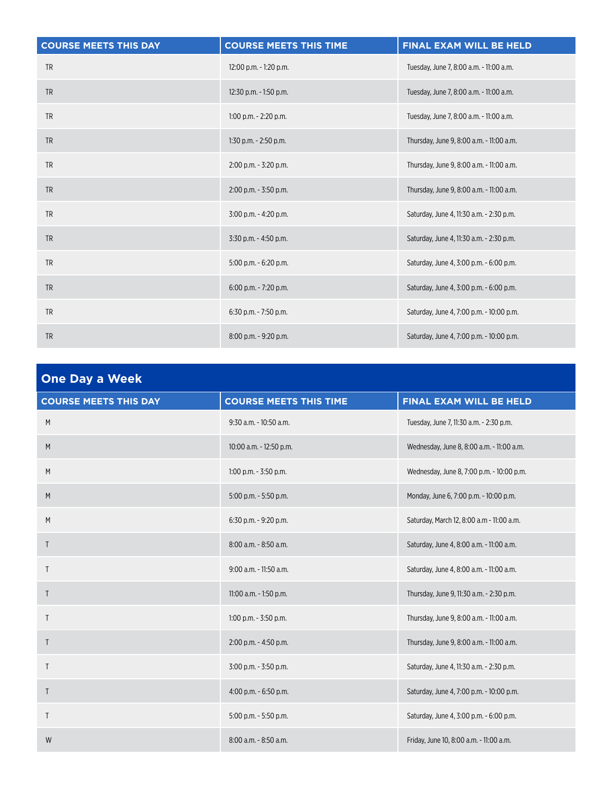| <b>COURSE MEETS THIS DAY</b> | <b>COURSE MEETS THIS TIME</b> | FINAL EXAM WILL BE HELD                  |
|------------------------------|-------------------------------|------------------------------------------|
| <b>TR</b>                    | 12:00 p.m. - 1:20 p.m.        | Tuesday, June 7, 8:00 a.m. - 11:00 a.m.  |
| <b>TR</b>                    | 12:30 p.m. - 1:50 p.m.        | Tuesday, June 7, 8:00 a.m. - 11:00 a.m.  |
| <b>TR</b>                    | $1:00$ p.m. $-2:20$ p.m.      | Tuesday, June 7, 8:00 a.m. - 11:00 a.m.  |
| <b>TR</b>                    | 1:30 p.m. - 2:50 p.m.         | Thursday, June 9, 8:00 a.m. - 11:00 a.m. |
| <b>TR</b>                    | 2:00 p.m. - 3:20 p.m.         | Thursday, June 9, 8:00 a.m. - 11:00 a.m. |
| <b>TR</b>                    | 2:00 p.m. - 3:50 p.m.         | Thursday, June 9, 8:00 a.m. - 11:00 a.m. |
| <b>TR</b>                    | 3:00 p.m. - 4:20 p.m.         | Saturday, June 4, 11:30 a.m. - 2:30 p.m. |
| <b>TR</b>                    | 3:30 p.m. - 4:50 p.m.         | Saturday, June 4, 11:30 a.m. - 2:30 p.m. |
| <b>TR</b>                    | 5:00 p.m. - 6:20 p.m.         | Saturday, June 4, 3:00 p.m. - 6:00 p.m.  |
| <b>TR</b>                    | $6:00$ p.m. - 7:20 p.m.       | Saturday, June 4, 3:00 p.m. - 6:00 p.m.  |
| <b>TR</b>                    | 6:30 p.m. - 7:50 p.m.         | Saturday, June 4, 7:00 p.m. - 10:00 p.m. |
| <b>TR</b>                    | 8:00 p.m. - 9:20 p.m.         | Saturday, June 4, 7:00 p.m. - 10:00 p.m. |

| <b>One Day a Week</b>        |                               |                                           |
|------------------------------|-------------------------------|-------------------------------------------|
| <b>COURSE MEETS THIS DAY</b> | <b>COURSE MEETS THIS TIME</b> | FINAL EXAM WILL BE HELD                   |
| ${\sf M}$                    | 9:30 a.m. - 10:50 a.m.        | Tuesday, June 7, 11:30 a.m. - 2:30 p.m.   |
| M                            | 10:00 a.m. - 12:50 p.m.       | Wednesday, June 8, 8:00 a.m. - 11:00 a.m. |
| M                            | $1:00$ p.m. $-3:50$ p.m.      | Wednesday, June 8, 7:00 p.m. - 10:00 p.m. |
| M                            | 5:00 p.m. - 5:50 p.m.         | Monday, June 6, 7:00 p.m. - 10:00 p.m.    |
| M                            | 6:30 p.m. - 9:20 p.m.         | Saturday, March 12, 8:00 a.m - 11:00 a.m. |
| T                            | 8:00 a.m. - 8:50 a.m.         | Saturday, June 4, 8:00 a.m. - 11:00 a.m.  |
| T                            | 9:00 a.m. - 11:50 a.m.        | Saturday, June 4, 8:00 a.m. - 11:00 a.m.  |
| $\mathsf{T}$                 | 11:00 a.m. - 1:50 p.m.        | Thursday, June 9, 11:30 a.m. - 2:30 p.m.  |
| $\mathsf{T}$                 | $1:00$ p.m. - $3:50$ p.m.     | Thursday, June 9, 8:00 a.m. - 11:00 a.m.  |
| $\mathsf{T}$                 | 2:00 p.m. - 4:50 p.m.         | Thursday, June 9, 8:00 a.m. - 11:00 a.m.  |
| Τ                            | 3:00 p.m. - 3:50 p.m.         | Saturday, June 4, 11:30 a.m. - 2:30 p.m.  |
| $\mathsf{T}$                 | 4:00 p.m. - 6:50 p.m.         | Saturday, June 4, 7:00 p.m. - 10:00 p.m.  |
| T                            | 5:00 p.m. - 5:50 p.m.         | Saturday, June 4, 3:00 p.m. - 6:00 p.m.   |
| W                            | 8:00 a.m. - 8:50 a.m.         | Friday, June 10, 8:00 a.m. - 11:00 a.m.   |